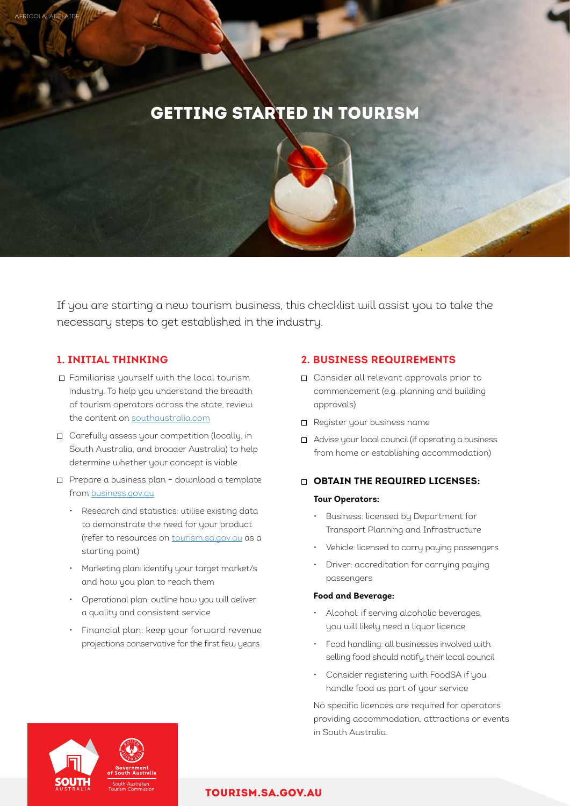# GETTING STARTED IN TOURISM

If you are starting a new tourism business, this checklist will assist you to take the necessary steps to get established in the industry.

# **1. INITIAL THINKING**

AFRICOLA, ADELAID

- Familiarise yourself with the local tourism industry. To help you understand the breadth of tourism operators across the state, review the content on [southaustralia.com](http://www.southaustralia.com)
- Carefully assess your competition (locally, in South Australia, and broader Australia) to help determine whether your concept is viable
- Prepare a business plan download a template from [business.gov.au](http://www.business.gov.au)
	- Research and statistics: utilise existing data to demonstrate the need for your product (refer to resources on [tourism.sa.g](tourism.sa.gov.au)ov.au as a starting point)
	- Marketing plan: identify your target market/s and how you plan to reach them
	- Operational plan: outline how you will deliver a quality and consistent service
	- Financial plan: keep your forward revenue projections conservative for the first few years

# **2. BUSINESS REQUIREMENTS**

- □ Consider all relevant approvals prior to commencement (e.g. planning and building approvals)
- □ Register your business name
- Advise your local council (if operating a business from home or establishing accommodation)

# **OBTAIN THE REQUIRED LICENSES:**

#### **Tour Operators:**

- Business: licensed by Department for Transport Planning and Infrastructure
- Vehicle: licensed to carry paying passengers
- Driver: accreditation for carrying paying passengers

#### **Food and Beverage:**

- Alcohol: if serving alcoholic beverages, you will likely need a liquor licence
- Food handling: all businesses involved with selling food should notify their local council
- Consider registering with FoodSA if you handle food as part of your service

 No specific licences are required for operators providing accommodation, attractions or events in South Australia.



## [TOURISM.SA.GOV.AU](http://tourism.sa.gov.au)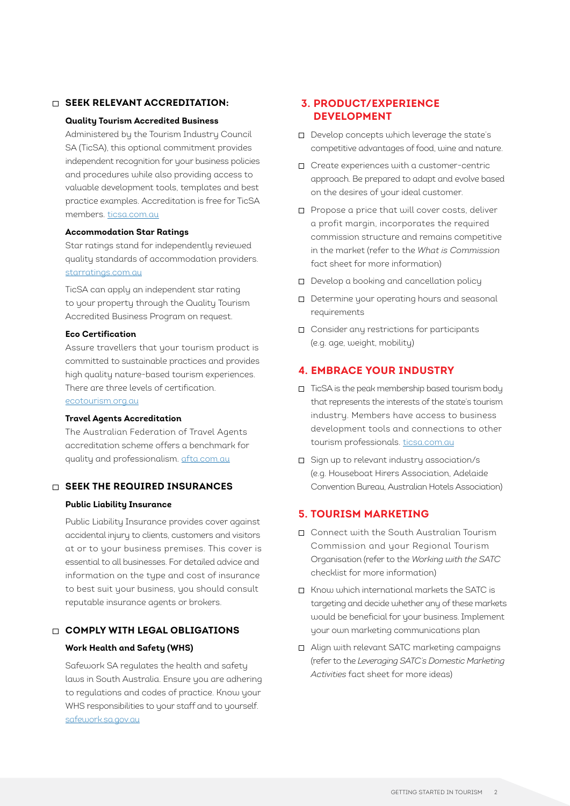## **SEEK RELEVANT ACCREDITATION:**

#### **Quality Tourism Accredited Business**

 Administered by the Tourism Industry Council SA (TicSA), this optional commitment provides independent recognition for your business policies and procedures while also providing access to valuable development tools, templates and best practice examples. Accreditation is free for TicSA members. [ticsa.com.au](https://ticsa.com.au/)

#### **Accommodation Star Ratings**

 Star ratings stand for independently reviewed quality standards of accommodation providers. [starratings.com.au](https://www.starratings.com.au/)

 TicSA can apply an independent star rating to your property through the Quality Tourism Accredited Business Program on request.

# **Eco Certification**

 Assure travellers that your tourism product is committed to sustainable practices and provides high quality nature-based tourism experiences. There are three levels of certification.

[ecotourism.org.au](http://www.ecotourism.org.au/)

#### **Travel Agents Accreditation**

 The Australian Federation of Travel Agents accreditation scheme offers a benchmark for quality and professionalism. [afta.com.au](http://www.afta.com.au)

## **SEEK THE REQUIRED INSURANCES**

#### **Public Liability Insurance**

 Public Liability Insurance provides cover against accidental injury to clients, customers and visitors at or to your business premises. This cover is essential to all businesses. For detailed advice and information on the type and cost of insurance to best suit your business, you should consult reputable insurance agents or brokers.

# **COMPLY WITH LEGAL OBLIGATIONS**

### **Work Health and Safety (WHS)**

 Safework SA regulates the health and safety laws in South Australia. Ensure you are adhering to regulations and codes of practice. Know your WHS responsibilities to your staff and to yourself. [safework.sa.gov.au](https://www.safework.sa.gov.au/)

# **3. PRODUCT/EXPERIENCE DEVELOPMENT**

- Develop concepts which leverage the state's competitive advantages of food, wine and nature.
- Create experiences with a customer-centric approach. Be prepared to adapt and evolve based on the desires of your ideal customer.
- □ Propose a price that will cover costs, deliver a profit margin, incorporates the required commission structure and remains competitive in the market (refer to the *What is Commission*  fact sheet for more information)
- Develop a booking and cancellation policy
- Determine your operating hours and seasonal requirements
- Consider any restrictions for participants (e.g. age, weight, mobility)

## **4. EMBRACE YOUR INDUSTRY**

- TicSA is the peak membership based tourism body that represents the interests of the state's tourism industry. Members have access to business development tools and connections to other tourism professionals. [ticsa.com.au](https://ticsa.com.au/)
- Sign up to relevant industry association/s (e.g. Houseboat Hirers Association, Adelaide Convention Bureau, Australian Hotels Association)

## **5. TOURISM MARKETING**

- Connect with the South Australian Tourism Commission and your Regional Tourism Organisation (refer to the *Working with the SATC* checklist for more information)
- Know which international markets the SATC is targeting and decide whether any of these markets would be beneficial for your business. Implement your own marketing communications plan
- Align with relevant SATC marketing campaigns (refer to the *Leveraging SATC's Domestic Marketing Activities* fact sheet for more ideas)